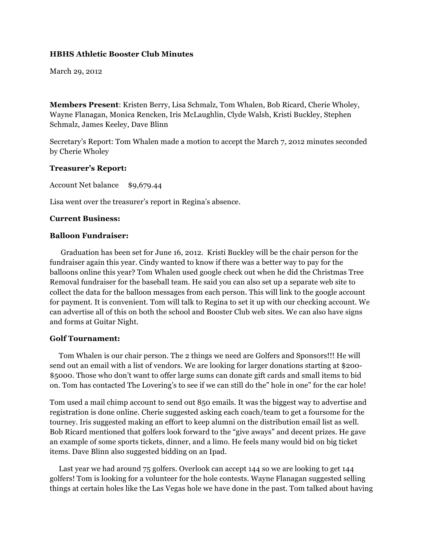#### **HBHS Athletic Booster Club Minutes**

March 29, 2012

**Members Present**: Kristen Berry, Lisa Schmalz, Tom Whalen, Bob Ricard, Cherie Wholey, Wayne Flanagan, Monica Rencken, Iris McLaughlin, Clyde Walsh, Kristi Buckley, Stephen Schmalz, James Keeley, Dave Blinn

Secretary's Report: Tom Whalen made a motion to accept the March 7, 2012 minutes seconded by Cherie Wholey

#### **Treasurer's Report:**

Account Net balance \$9,679.44

Lisa went over the treasurer's report in Regina's absence.

## **Current Business:**

#### **Balloon Fundraiser:**

 Graduation has been set for June 16, 2012. Kristi Buckley will be the chair person for the fundraiser again this year. Cindy wanted to know if there was a better way to pay for the balloons online this year? Tom Whalen used google check out when he did the Christmas Tree Removal fundraiser for the baseball team. He said you can also set up a separate web site to collect the data for the balloon messages from each person. This will link to the google account for payment. It is convenient. Tom will talk to Regina to set it up with our checking account. We can advertise all of this on both the school and Booster Club web sites. We can also have signs and forms at Guitar Night.

#### **Golf Tournament:**

 Tom Whalen is our chair person. The 2 things we need are Golfers and Sponsors!!! He will send out an email with a list of vendors. We are looking for larger donations starting at \$200- \$5000. Those who don't want to offer large sums can donate gift cards and small items to bid on. Tom has contacted The Lovering's to see if we can still do the" hole in one" for the car hole!

Tom used a mail chimp account to send out 850 emails. It was the biggest way to advertise and registration is done online. Cherie suggested asking each coach/team to get a foursome for the tourney. Iris suggested making an effort to keep alumni on the distribution email list as well. Bob Ricard mentioned that golfers look forward to the "give aways" and decent prizes. He gave an example of some sports tickets, dinner, and a limo. He feels many would bid on big ticket items. Dave Blinn also suggested bidding on an Ipad.

 Last year we had around 75 golfers. Overlook can accept 144 so we are looking to get 144 golfers! Tom is looking for a volunteer for the hole contests. Wayne Flanagan suggested selling things at certain holes like the Las Vegas hole we have done in the past. Tom talked about having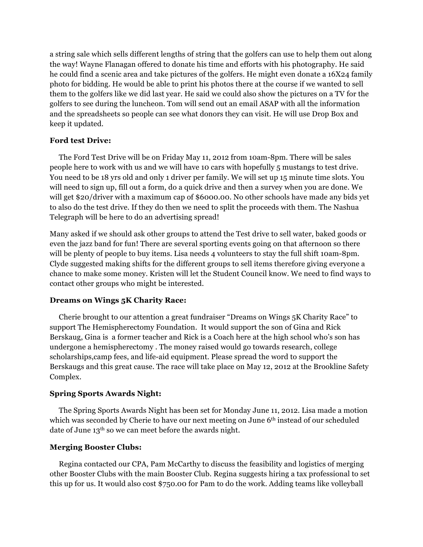a string sale which sells different lengths of string that the golfers can use to help them out along the way! Wayne Flanagan offered to donate his time and efforts with his photography. He said he could find a scenic area and take pictures of the golfers. He might even donate a 16X24 family photo for bidding. He would be able to print his photos there at the course if we wanted to sell them to the golfers like we did last year. He said we could also show the pictures on a TV for the golfers to see during the luncheon. Tom will send out an email ASAP with all the information and the spreadsheets so people can see what donors they can visit. He will use Drop Box and keep it updated.

## **Ford test Drive:**

 The Ford Test Drive will be on Friday May 11, 2012 from 10am-8pm. There will be sales people here to work with us and we will have 10 cars with hopefully 5 mustangs to test drive. You need to be 18 yrs old and only 1 driver per family. We will set up 15 minute time slots. You will need to sign up, fill out a form, do a quick drive and then a survey when you are done. We will get \$20/driver with a maximum cap of \$6000.00. No other schools have made any bids yet to also do the test drive. If they do then we need to split the proceeds with them. The Nashua Telegraph will be here to do an advertising spread!

Many asked if we should ask other groups to attend the Test drive to sell water, baked goods or even the jazz band for fun! There are several sporting events going on that afternoon so there will be plenty of people to buy items. Lisa needs 4 volunteers to stay the full shift 10am-8pm. Clyde suggested making shifts for the different groups to sell items therefore giving everyone a chance to make some money. Kristen will let the Student Council know. We need to find ways to contact other groups who might be interested.

## **Dreams on Wings 5K Charity Race:**

 Cherie brought to our attention a great fundraiser "Dreams on Wings 5K Charity Race" to support The Hemispherectomy Foundation. It would support the son of Gina and Rick Berskaug, Gina is a former teacher and Rick is a Coach here at the high school who's son has undergone a hemispherectomy . The money raised would go towards research, college scholarships,camp fees, and life-aid equipment. Please spread the word to support the Berskaugs and this great cause. The race will take place on May 12, 2012 at the Brookline Safety Complex.

# **Spring Sports Awards Night:**

 The Spring Sports Awards Night has been set for Monday June 11, 2012. Lisa made a motion which was seconded by Cherie to have our next meeting on June 6<sup>th</sup> instead of our scheduled date of June 13<sup>th</sup> so we can meet before the awards night.

# **Merging Booster Clubs:**

 Regina contacted our CPA, Pam McCarthy to discuss the feasibility and logistics of merging other Booster Clubs with the main Booster Club. Regina suggests hiring a tax professional to set this up for us. It would also cost \$750.00 for Pam to do the work. Adding teams like volleyball